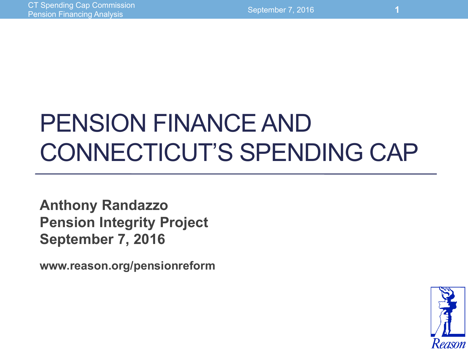# PENSION FINANCE AND CONNECTICUT'S SPENDING CAP

**Anthony Randazzo Pension Integrity Project September 7, 2016** 

**www.reason.org/pensionreform**

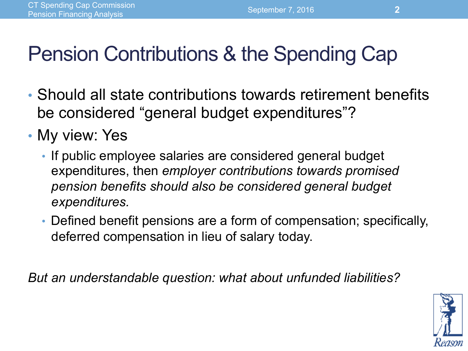# Pension Contributions & the Spending Cap

- Should all state contributions towards retirement benefits be considered "general budget expenditures"?
- My view: Yes
	- If public employee salaries are considered general budget expenditures, then *employer contributions towards promised pension benefits should also be considered general budget expenditures.*
	- Defined benefit pensions are a form of compensation; specifically, deferred compensation in lieu of salary today.

*But an understandable question: what about unfunded liabilities?* 

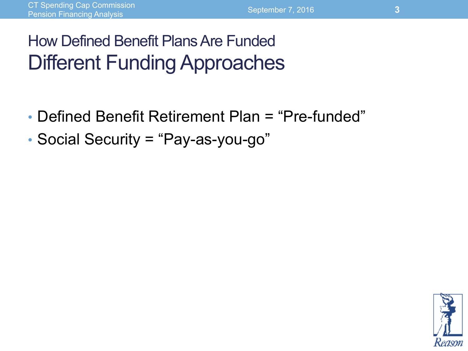### How Defined Benefit Plans Are Funded Different Funding Approaches

- Defined Benefit Retirement Plan = "Pre-funded"
- Social Security = "Pay-as-you-go"

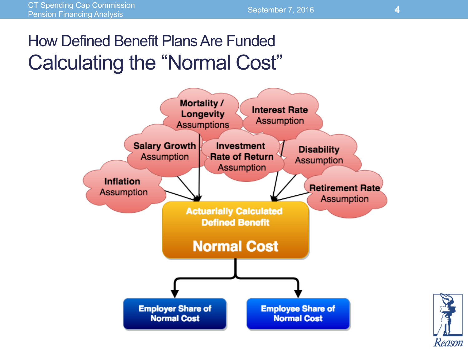#### How Defined Benefit Plans Are Funded Calculating the "Normal Cost"



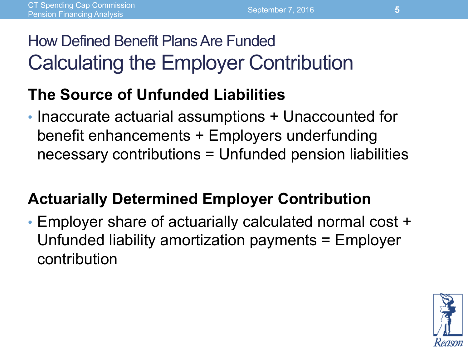#### How Defined Benefit Plans Are Funded Calculating the Employer Contribution

#### **The Source of Unfunded Liabilities**

• Inaccurate actuarial assumptions + Unaccounted for benefit enhancements + Employers underfunding necessary contributions = Unfunded pension liabilities

#### **Actuarially Determined Employer Contribution**

• Employer share of actuarially calculated normal cost + Unfunded liability amortization payments = Employer contribution

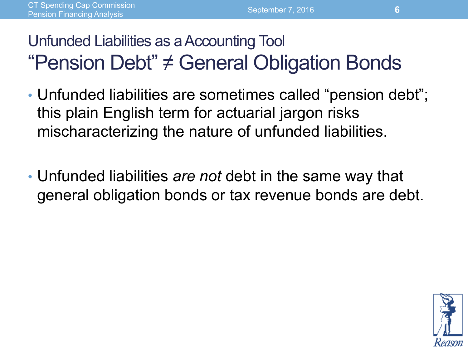#### Unfunded Liabilities as a Accounting Tool "Pension Debt" ≠ General Obligation Bonds

- Unfunded liabilities are sometimes called "pension debt"; this plain English term for actuarial jargon risks mischaracterizing the nature of unfunded liabilities.
- Unfunded liabilities *are not* debt in the same way that general obligation bonds or tax revenue bonds are debt.

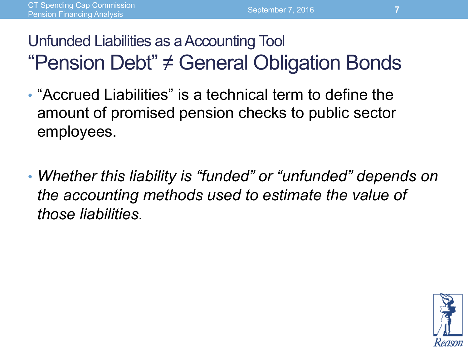#### Unfunded Liabilities as a Accounting Tool "Pension Debt" ≠ General Obligation Bonds

- "Accrued Liabilities" is a technical term to define the amount of promised pension checks to public sector employees.
- *Whether this liability is "funded" or "unfunded" depends on the accounting methods used to estimate the value of those liabilities.*

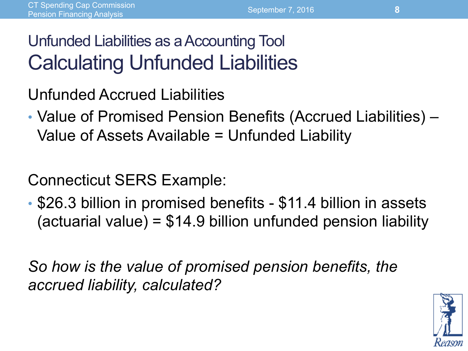#### Unfunded Liabilities as a Accounting Tool Calculating Unfunded Liabilities

Unfunded Accrued Liabilities

• Value of Promised Pension Benefits (Accrued Liabilities) – Value of Assets Available = Unfunded Liability

Connecticut SERS Example:

• \$26.3 billion in promised benefits - \$11.4 billion in assets (actuarial value) =  $$14.9$  billion unfunded pension liability

*So how is the value of promised pension benefits, the accrued liability, calculated?* 

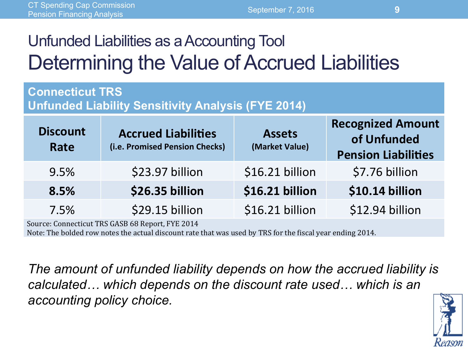#### Unfunded Liabilities as a Accounting Tool Determining the Value of Accrued Liabilities

#### **Connecticut TRS**

**Unfunded Liability Sensitivity Analysis (FYE 2014)** 

| <b>Discount</b><br>Rate | <b>Accrued Liabilities</b><br>(i.e. Promised Pension Checks) | <b>Assets</b><br>(Market Value) | <b>Recognized Amount</b><br>of Unfunded<br><b>Pension Liabilities</b> |
|-------------------------|--------------------------------------------------------------|---------------------------------|-----------------------------------------------------------------------|
| 9.5%                    | \$23.97 billion                                              | \$16.21 billion                 | \$7.76 billion                                                        |
| 8.5%                    | \$26.35 billion                                              | \$16.21 billion                 | \$10.14 billion                                                       |
| 7.5%                    | \$29.15 billion                                              | \$16.21 billion                 | \$12.94 billion                                                       |

Source: Connecticut TRS GASB 68 Report, FYE 2014

Note: The bolded row notes the actual discount rate that was used by TRS for the fiscal year ending 2014.

*The amount of unfunded liability depends on how the accrued liability is calculated… which depends on the discount rate used… which is an accounting policy choice.*